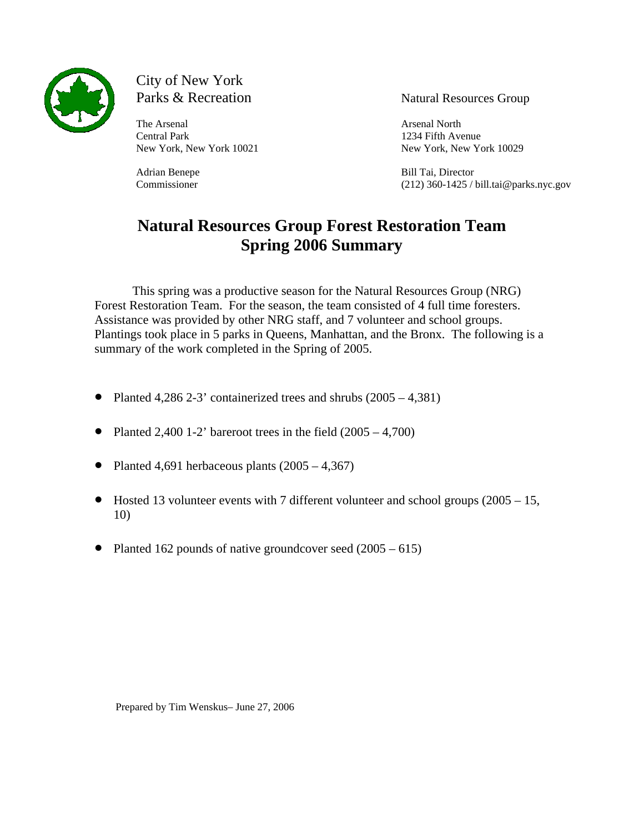

# City of New York<br>Parks & Recreation

The Arsenal Arsenal Arsenal Arsenal North and Arsenal North and Arsenal North and Arsenal North and Arsenal North and Arsenal North and Arsenal North and Arsenal North and Arsenal North and Arsenal North and Arsenal North Central Park 1234 Fifth Avenue

Natural Resources Group

New York, New York 10021 New York, New York 10029

Adrian Benepe Bill Tai, Director Commissioner (212) 360-1425 / bill.tai@parks.nyc.gov

# **Natural Resources Group Forest Restoration Team Spring 2006 Summary**

This spring was a productive season for the Natural Resources Group (NRG) Forest Restoration Team. For the season, the team consisted of 4 full time foresters. Assistance was provided by other NRG staff, and 7 volunteer and school groups. Plantings took place in 5 parks in Queens, Manhattan, and the Bronx. The following is a summary of the work completed in the Spring of 2005.

- Planted 4,286 2-3' containerized trees and shrubs  $(2005 4,381)$
- Planted 2,400 1-2' bareroot trees in the field  $(2005 4,700)$
- Planted 4,691 herbaceous plants  $(2005 4,367)$
- Hosted 13 volunteer events with 7 different volunteer and school groups (2005 15, 10)
- Planted 162 pounds of native groundcover seed  $(2005 615)$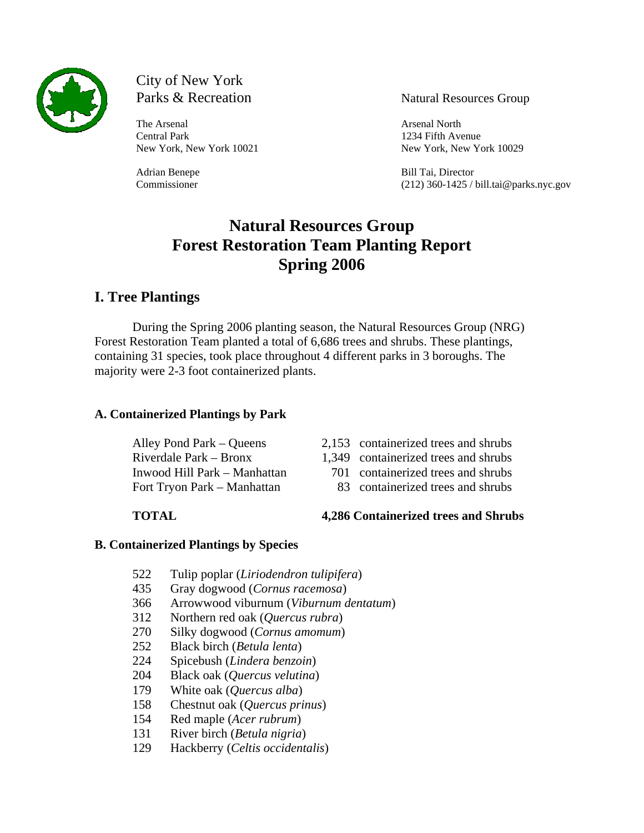

# City of New York

The Arsenal Arsenal Arsenal Arsenal North Central Park 1234 Fifth Avenue

Parks & Recreation Natural Resources Group

New York, New York 10021 New York, New York 10029

Adrian Benepe Bill Tai, Director Commissioner (212) 360-1425 / bill.tai@parks.nyc.gov

## **Natural Resources Group Forest Restoration Team Planting Report Spring 2006**

## **I. Tree Plantings**

During the Spring 2006 planting season, the Natural Resources Group (NRG) Forest Restoration Team planted a total of 6,686 trees and shrubs. These plantings, containing 31 species, took place throughout 4 different parks in 3 boroughs. The majority were 2-3 foot containerized plants.

### **A. Containerized Plantings by Park**

- Alley Pond Park Oueens 2,153 containerized trees and shrubs
- Riverdale Park Bronx 1,349 containerized trees and shrubs
- Inwood Hill Park Manhattan 701 containerized trees and shrubs
- Fort Tryon Park Manhattan 83 containerized trees and shrubs

**TOTAL 4,286 Containerized trees and Shrubs**

### **B. Containerized Plantings by Species**

- 522 Tulip poplar (*Liriodendron tulipifera*)
- 435 Gray dogwood (*Cornus racemosa*)
- 366 Arrowwood viburnum (*Viburnum dentatum*)
- 312 Northern red oak (*Quercus rubra*)
- 270 Silky dogwood (*Cornus amomum*)
- 252 Black birch (*Betula lenta*)
- 224 Spicebush (*Lindera benzoin*)
- 204 Black oak (*Quercus velutina*)
- 179 White oak (*Quercus alba*)
- 158 Chestnut oak (*Quercus prinus*)
- 154 Red maple (*Acer rubrum*)
- 131 River birch (*Betula nigria*)
- 129 Hackberry (*Celtis occidentalis*)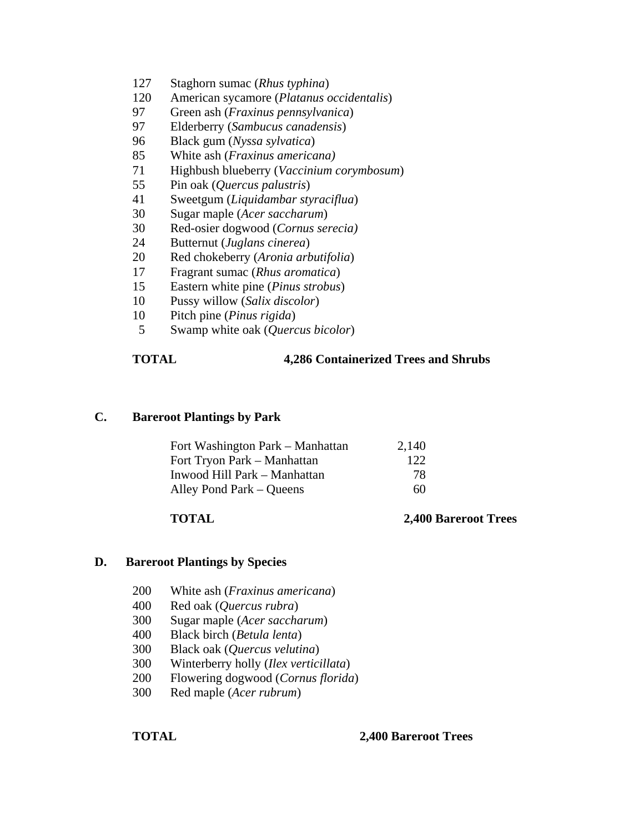- 127 Staghorn sumac (*Rhus typhina*)
- 120 American sycamore (*Platanus occidentalis*)
- 97 Green ash (*Fraxinus pennsylvanica*)
- 97 Elderberry (*Sambucus canadensis*)
- 96 Black gum (*Nyssa sylvatica*)
- 85 White ash (*Fraxinus americana)*
- 71 Highbush blueberry (*Vaccinium corymbosum*)
- 55 Pin oak (*Quercus palustris*)
- 41 Sweetgum (*Liquidambar styraciflua*)
- 30 Sugar maple (*Acer saccharum*)
- 30 Red-osier dogwood (*Cornus serecia)*
- 24 Butternut (*Juglans cinerea*)
- 20 Red chokeberry (*Aronia arbutifolia*)
- 17 Fragrant sumac (*Rhus aromatica*)
- 15 Eastern white pine (*Pinus strobus*)
- 10 Pussy willow (*Salix discolor*)
- 10 Pitch pine (*Pinus rigida*)
- 5 Swamp white oak (*Quercus bicolor*)

#### **TOTAL 4,286 Containerized Trees and Shrubs**

#### **C. Bareroot Plantings by Park**

| Fort Washington Park – Manhattan | 2,140 |
|----------------------------------|-------|
| Fort Tryon Park – Manhattan      | 122.  |
| Inwood Hill Park – Manhattan     | 78.   |
| Alley Pond Park – Queens         | 60    |

#### **TOTAL 2,400 Bareroot Trees**

#### **D. Bareroot Plantings by Species**

- 200 White ash (*Fraxinus americana*)
- 400 Red oak (*Quercus rubra*)
- 300 Sugar maple (*Acer saccharum*)
- 400 Black birch (*Betula lenta*)
- 300 Black oak (*Quercus velutina*)
- 300 Winterberry holly (*Ilex verticillata*)
- 200 Flowering dogwood (*Cornus florida*)
- 300 Red maple (*Acer rubrum*)

#### **TOTAL 2,400 Bareroot Trees**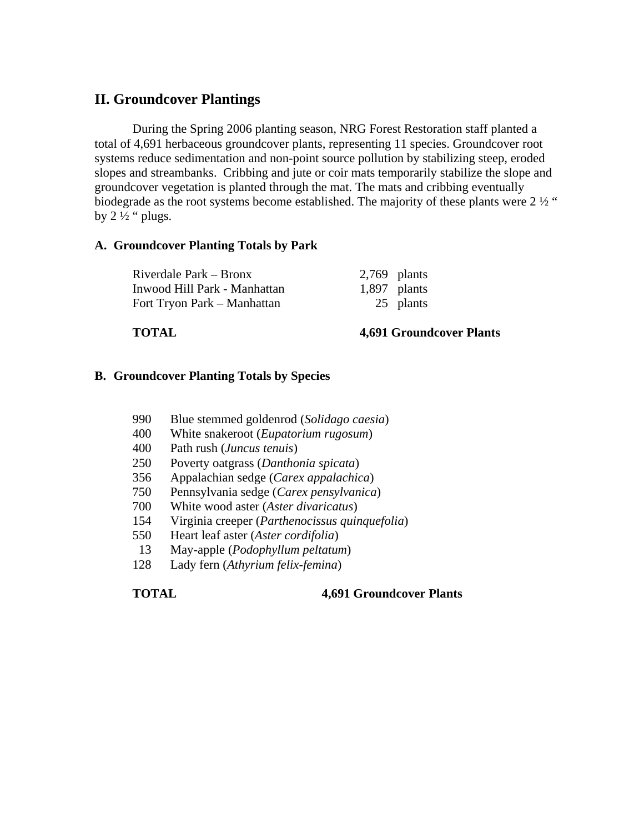### **II. Groundcover Plantings**

During the Spring 2006 planting season, NRG Forest Restoration staff planted a total of 4,691 herbaceous groundcover plants, representing 11 species. Groundcover root systems reduce sedimentation and non-point source pollution by stabilizing steep, eroded slopes and streambanks. Cribbing and jute or coir mats temporarily stabilize the slope and groundcover vegetation is planted through the mat. The mats and cribbing eventually biodegrade as the root systems become established. The majority of these plants were  $2\frac{1}{2}$ " by  $2\frac{1}{2}$  " plugs.

#### **A. Groundcover Planting Totals by Park**

Riverdale Park – Bronx 2,769 plants Inwood Hill Park - Manhattan 1,897 plants Fort Tryon Park – Manhattan 25 plants

#### **TOTAL 4,691 Groundcover Plants**

#### **B. Groundcover Planting Totals by Species**

- 990 Blue stemmed goldenrod (*Solidago caesia*)
- 400 White snakeroot (*Eupatorium rugosum*)
- 400 Path rush (*Juncus tenuis*)
- 250 Poverty oatgrass (*Danthonia spicata*)
- 356 Appalachian sedge (*Carex appalachica*)
- 750 Pennsylvania sedge (*Carex pensylvanica*)
- 700 White wood aster (*Aster divaricatus*)
- 154 Virginia creeper (*Parthenocissus quinquefolia*)
- 550 Heart leaf aster (*Aster cordifolia*)
- 13 May-apple (*Podophyllum peltatum*)
- 128 Lady fern (*Athyrium felix-femina*)

**TOTAL 4,691 Groundcover Plants**